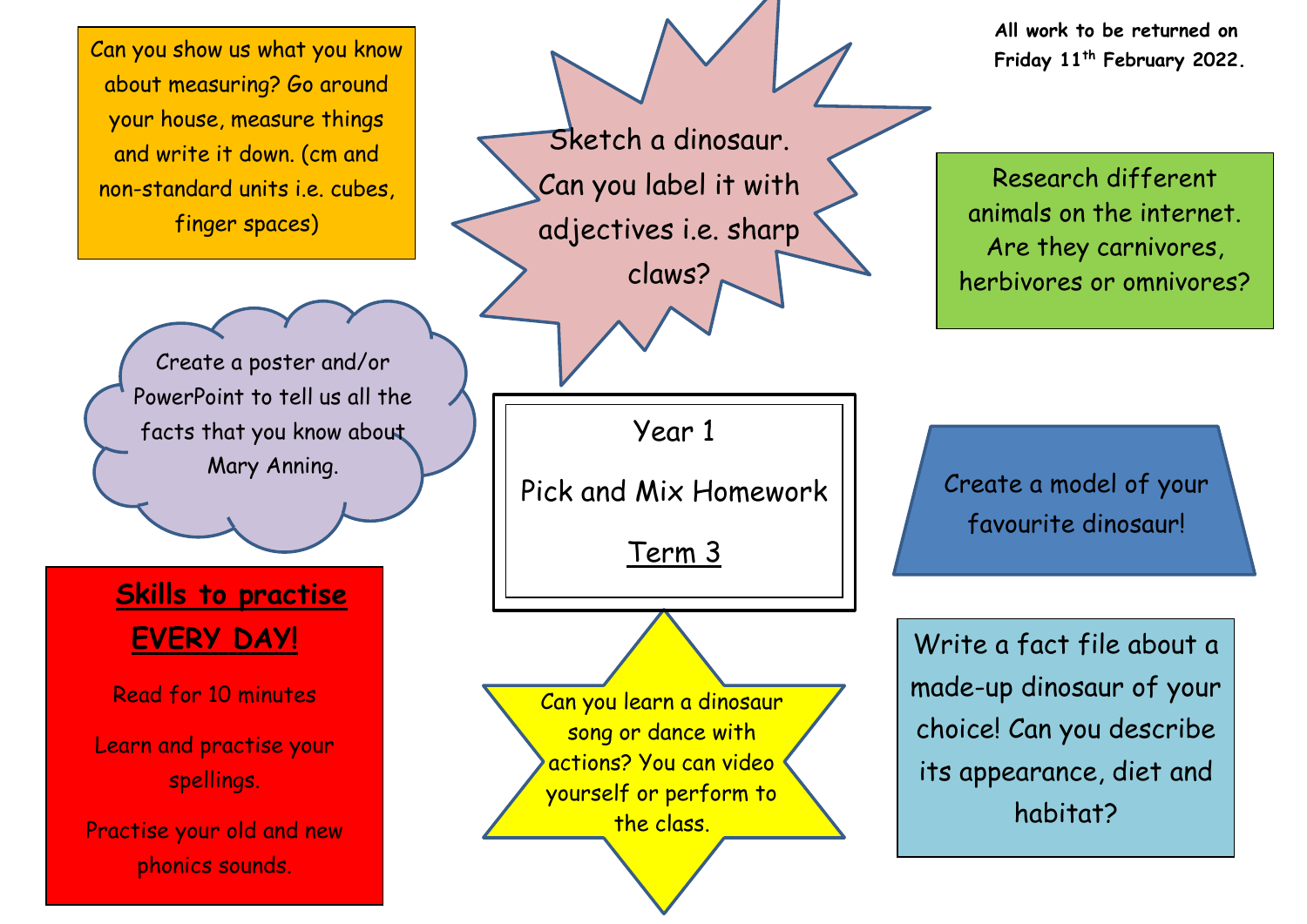